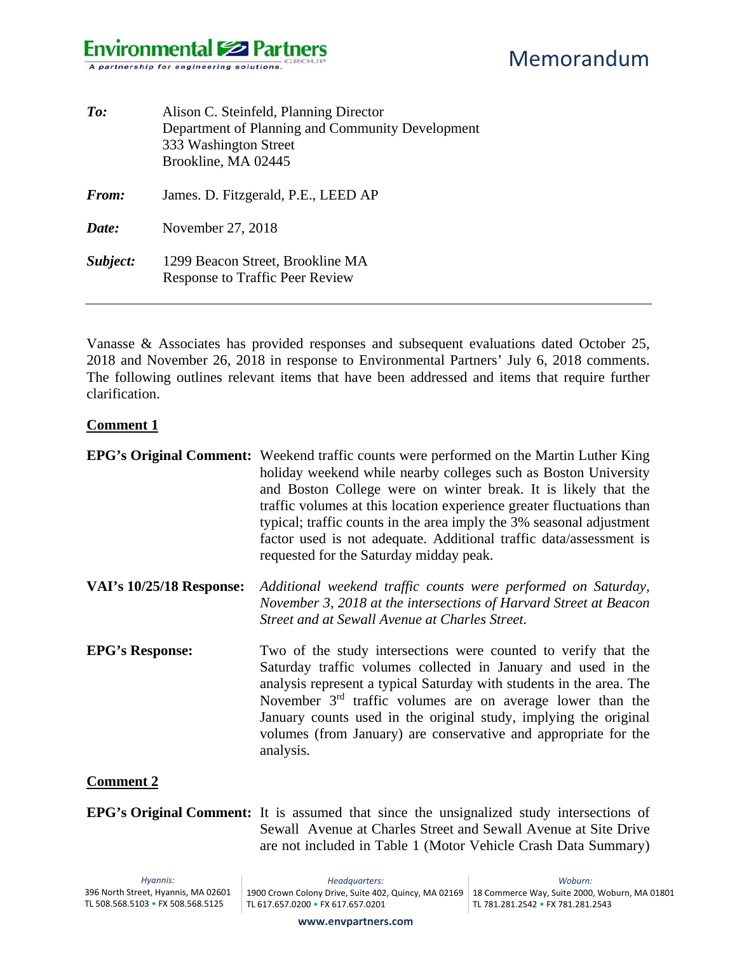| To:      | Alison C. Steinfeld, Planning Director<br>Department of Planning and Community Development<br>333 Washington Street<br>Brookline, MA 02445 |
|----------|--------------------------------------------------------------------------------------------------------------------------------------------|
| From:    | James. D. Fitzgerald, P.E., LEED AP                                                                                                        |
| Date:    | November 27, 2018                                                                                                                          |
| Subject: | 1299 Beacon Street, Brookline MA<br><b>Response to Traffic Peer Review</b>                                                                 |

Vanasse & Associates has provided responses and subsequent evaluations dated October 25, 2018 and November 26, 2018 in response to Environmental Partners' July 6, 2018 comments. The following outlines relevant items that have been addressed and items that require further clarification.

### **Comment 1**

|                                 | <b>EPG's Original Comment:</b> Weekend traffic counts were performed on the Martin Luther King<br>holiday weekend while nearby colleges such as Boston University<br>and Boston College were on winter break. It is likely that the<br>traffic volumes at this location experience greater fluctuations than<br>typical; traffic counts in the area imply the 3% seasonal adjustment<br>factor used is not adequate. Additional traffic data/assessment is<br>requested for the Saturday midday peak. |
|---------------------------------|-------------------------------------------------------------------------------------------------------------------------------------------------------------------------------------------------------------------------------------------------------------------------------------------------------------------------------------------------------------------------------------------------------------------------------------------------------------------------------------------------------|
| <b>VAI's 10/25/18 Response:</b> | Additional weekend traffic counts were performed on Saturday,<br>November 3, 2018 at the intersections of Harvard Street at Beacon<br>Street and at Sewall Avenue at Charles Street.                                                                                                                                                                                                                                                                                                                  |
| <b>EPG's Response:</b>          | Two of the study intersections were counted to verify that the<br>Saturday traffic volumes collected in January and used in the<br>analysis represent a typical Saturday with students in the area. The<br>November $3rd$ traffic volumes are on average lower than the<br>January counts used in the original study, implying the original<br>volumes (from January) are conservative and appropriate for the<br>analysis.                                                                           |
| <b>Comment 2</b>                |                                                                                                                                                                                                                                                                                                                                                                                                                                                                                                       |

**EPG's Original Comment:** It is assumed that since the unsignalized study intersections of Sewall Avenue at Charles Street and Sewall Avenue at Site Drive are not included in Table 1 (Motor Vehicle Crash Data Summary)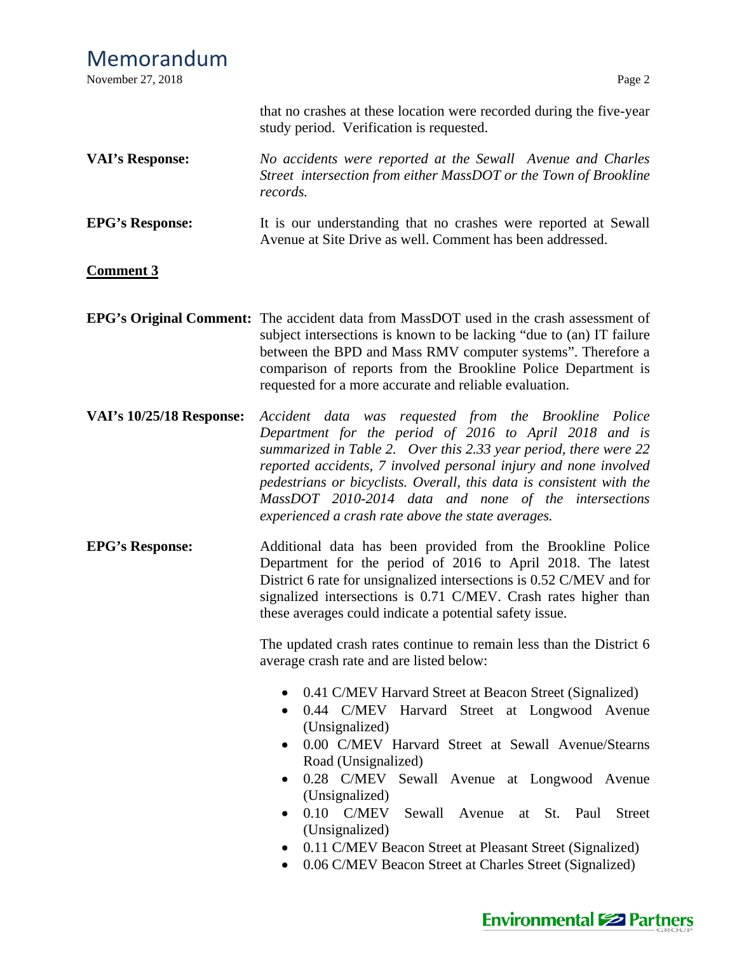| Memorandum<br>November 27, 2018 | Page 2                                                                                                                                                                                                                                                                                                                                                                                                                                                                                                      |  |  |
|---------------------------------|-------------------------------------------------------------------------------------------------------------------------------------------------------------------------------------------------------------------------------------------------------------------------------------------------------------------------------------------------------------------------------------------------------------------------------------------------------------------------------------------------------------|--|--|
|                                 | that no crashes at these location were recorded during the five-year<br>study period. Verification is requested.                                                                                                                                                                                                                                                                                                                                                                                            |  |  |
| <b>VAI's Response:</b>          | No accidents were reported at the Sewall Avenue and Charles<br>Street intersection from either MassDOT or the Town of Brookline<br>records.                                                                                                                                                                                                                                                                                                                                                                 |  |  |
| <b>EPG's Response:</b>          | It is our understanding that no crashes were reported at Sewall<br>Avenue at Site Drive as well. Comment has been addressed.                                                                                                                                                                                                                                                                                                                                                                                |  |  |
| <b>Comment 3</b>                |                                                                                                                                                                                                                                                                                                                                                                                                                                                                                                             |  |  |
|                                 | EPG's Original Comment: The accident data from MassDOT used in the crash assessment of<br>subject intersections is known to be lacking "due to (an) IT failure<br>between the BPD and Mass RMV computer systems". Therefore a<br>comparison of reports from the Brookline Police Department is<br>requested for a more accurate and reliable evaluation.                                                                                                                                                    |  |  |
| <b>VAI's 10/25/18 Response:</b> | Accident data was requested from the Brookline Police<br>Department for the period of 2016 to April 2018 and is<br>summarized in Table 2. Over this 2.33 year period, there were 22<br>reported accidents, 7 involved personal injury and none involved<br>pedestrians or bicyclists. Overall, this data is consistent with the<br>MassDOT 2010-2014 data and none of the intersections<br>experienced a crash rate above the state averages.                                                               |  |  |
| <b>EPG's Response:</b>          | Additional data has been provided from the Brookline Police<br>Department for the period of 2016 to April 2018. The latest<br>District 6 rate for unsignalized intersections is 0.52 C/MEV and for<br>signalized intersections is 0.71 C/MEV. Crash rates higher than<br>these averages could indicate a potential safety issue.<br>The updated crash rates continue to remain less than the District 6                                                                                                     |  |  |
|                                 | average crash rate and are listed below:                                                                                                                                                                                                                                                                                                                                                                                                                                                                    |  |  |
|                                 | 0.41 C/MEV Harvard Street at Beacon Street (Signalized)<br>0.44 C/MEV Harvard Street at Longwood Avenue<br>(Unsignalized)<br>0.00 C/MEV Harvard Street at Sewall Avenue/Stearns<br>Road (Unsignalized)<br>0.28 C/MEV Sewall Avenue at Longwood Avenue<br>(Unsignalized)<br>$0.10$ C/MEV<br>Sewall Avenue at<br>St. Paul<br><b>Street</b><br>$\bullet$<br>(Unsignalized)<br>0.11 C/MEV Beacon Street at Pleasant Street (Signalized)<br>0.06 C/MEV Beacon Street at Charles Street (Signalized)<br>$\bullet$ |  |  |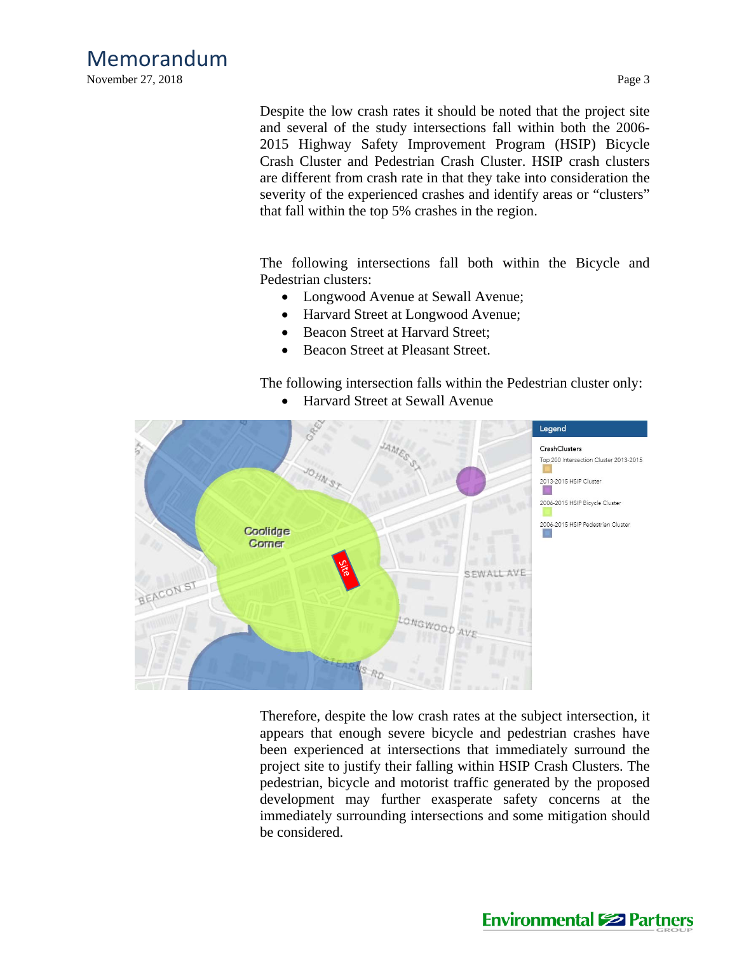November 27, 2018 Page 3

Despite the low crash rates it should be noted that the project site and several of the study intersections fall within both the 2006- 2015 Highway Safety Improvement Program (HSIP) Bicycle Crash Cluster and Pedestrian Crash Cluster. HSIP crash clusters are different from crash rate in that they take into consideration the severity of the experienced crashes and identify areas or "clusters" that fall within the top 5% crashes in the region.

The following intersections fall both within the Bicycle and Pedestrian clusters:

- Longwood Avenue at Sewall Avenue;
- Harvard Street at Longwood Avenue;
- Beacon Street at Harvard Street;
- Beacon Street at Pleasant Street.

The following intersection falls within the Pedestrian cluster only:



Harvard Street at Sewall Avenue

Therefore, despite the low crash rates at the subject intersection, it appears that enough severe bicycle and pedestrian crashes have been experienced at intersections that immediately surround the project site to justify their falling within HSIP Crash Clusters. The pedestrian, bicycle and motorist traffic generated by the proposed development may further exasperate safety concerns at the immediately surrounding intersections and some mitigation should be considered.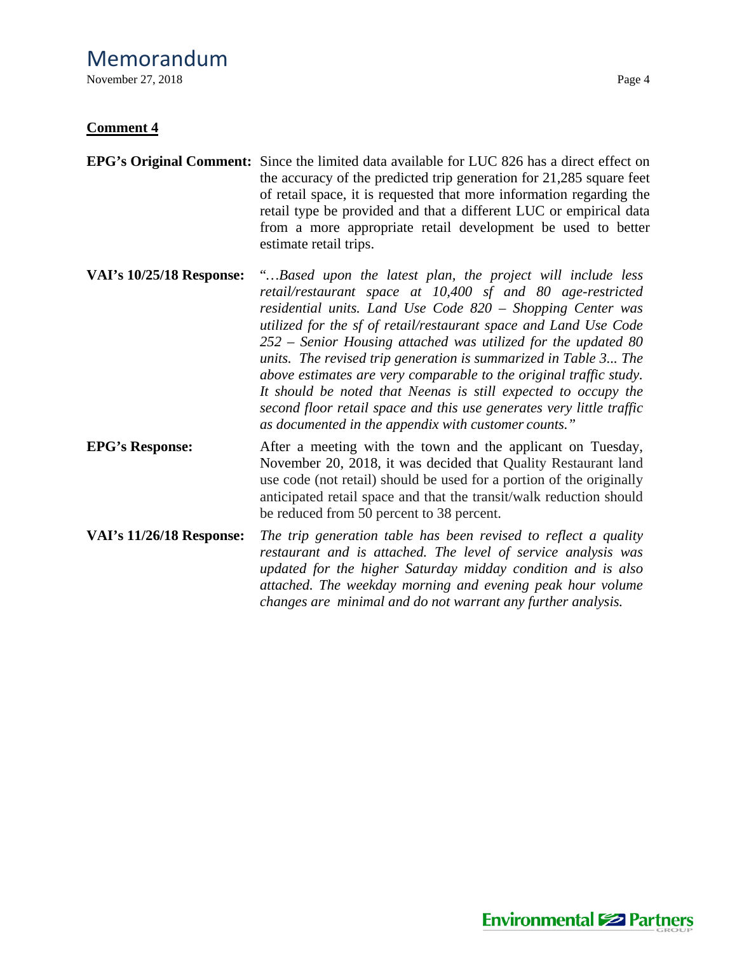November 27, 2018 Page 4

### **Comment 4**

- of retail space, it is requested that more information regarding the retail type be provided and that a different LUC or empirical data from a more appropriate retail development be used to better estimate retail trips.
- **VAI's 10/25/18 Response:** "*…Based upon the latest plan, the project will include less retail/restaurant space at 10,400 sf and 80 age-restricted residential units. Land Use Code 820 – Shopping Center was utilized for the sf of retail/restaurant space and Land Use Code 252 – Senior Housing attached was utilized for the updated 80 units. The revised trip generation is summarized in Table 3... The above estimates are very comparable to the original traffic study. It should be noted that Neenas is still expected to occupy the second floor retail space and this use generates very little traffic as documented in the appendix with customer counts."*
- **EPG's Response:** After a meeting with the town and the applicant on Tuesday, November 20, 2018, it was decided that Quality Restaurant land use code (not retail) should be used for a portion of the originally anticipated retail space and that the transit/walk reduction should be reduced from 50 percent to 38 percent.
- **VAI's 11/26/18 Response:** *The trip generation table has been revised to reflect a quality restaurant and is attached. The level of service analysis was updated for the higher Saturday midday condition and is also attached. The weekday morning and evening peak hour volume changes are minimal and do not warrant any further analysis.*

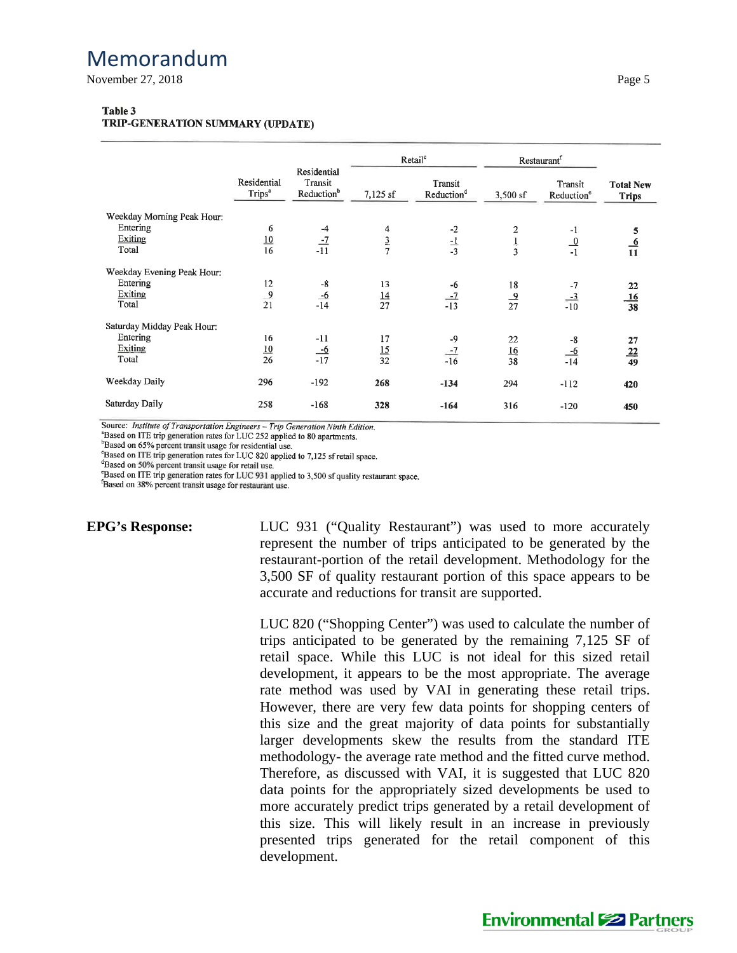November 27, 2018 Page 5

### Table 3

TRIP-GENERATION SUMMARY (UPDATE)

|                                                                   | Residential<br>Trips <sup>a</sup> | Residential<br>Transit<br>Reduction <sup>b</sup> | Retail <sup>c</sup>   |                                   | Restaurant <sup>f</sup> |                                   |                                  |
|-------------------------------------------------------------------|-----------------------------------|--------------------------------------------------|-----------------------|-----------------------------------|-------------------------|-----------------------------------|----------------------------------|
|                                                                   |                                   |                                                  | 7,125 sf              | Transit<br>Reduction <sup>d</sup> | 3,500 sf                | Transit<br>Reduction <sup>e</sup> | <b>Total New</b><br><b>Trips</b> |
| Weekday Morning Peak Hour:<br>Entering<br><b>Exiting</b><br>Total | 6<br>10<br>16                     | $-4$<br>$-7$<br>$-11$                            | 4<br>$rac{3}{7}$      | $-2$<br>$\frac{-1}{-3}$           | 2<br>$\frac{1}{3}$      | -1<br>$\frac{0}{-1}$              | 5<br>$\frac{6}{11}$              |
| Weekday Evening Peak Hour:<br>Entering<br>Exiting<br>Total        | 12<br>$\frac{9}{21}$              | -8<br>$\frac{-6}{-14}$                           | 13<br>$\frac{14}{27}$ | -6<br>$\frac{-7}{-13}$            | 18<br>$\frac{9}{27}$    | $-7$<br>$\frac{-3}{-10}$          | 22<br>$\frac{16}{38}$            |
| Saturday Midday Peak Hour:<br>Entering<br>Exiting<br>Total        | 16<br>$\frac{10}{26}$             | $-11$<br>$\frac{-6}{-17}$                        | 17<br>$\frac{15}{32}$ | $-9$<br>$\frac{-7}{-16}$          | 22<br>$\frac{16}{38}$   | -8<br>$\frac{-6}{-14}$            | 27<br>$\frac{22}{49}$            |
| Weekday Daily                                                     | 296                               | $-192$                                           | 268                   | $-134$                            | 294                     | $-112$                            | 420                              |
| Saturday Daily                                                    | 258                               | $-168$                                           | 328                   | $-164$                            | 316                     | $-120$                            | 450                              |

Source: Institute of Transportation Engineers - Trip Generation Ninth Edition.

<sup>a</sup>Based on ITE trip generation rates for LUC 252 applied to 80 apartments.

<sup>b</sup>Based on 65% percent transit usage for residential use.

Based on ITE trip generation rates for LUC 820 applied to 7,125 sf retail space.

<sup>d</sup>Based on 50% percent transit usage for retail use.

<sup>e</sup>Based on ITE trip generation rates for LUC 931 applied to 3,500 sf quality restaurant space.

<sup>f</sup>Based on 38% percent transit usage for restaurant use.

**EPG's Response:** LUC 931 ("Quality Restaurant") was used to more accurately represent the number of trips anticipated to be generated by the restaurant-portion of the retail development. Methodology for the 3,500 SF of quality restaurant portion of this space appears to be accurate and reductions for transit are supported.

> LUC 820 ("Shopping Center") was used to calculate the number of trips anticipated to be generated by the remaining 7,125 SF of retail space. While this LUC is not ideal for this sized retail development, it appears to be the most appropriate. The average rate method was used by VAI in generating these retail trips. However, there are very few data points for shopping centers of this size and the great majority of data points for substantially larger developments skew the results from the standard ITE methodology- the average rate method and the fitted curve method. Therefore, as discussed with VAI, it is suggested that LUC 820 data points for the appropriately sized developments be used to more accurately predict trips generated by a retail development of this size. This will likely result in an increase in previously presented trips generated for the retail component of this development.

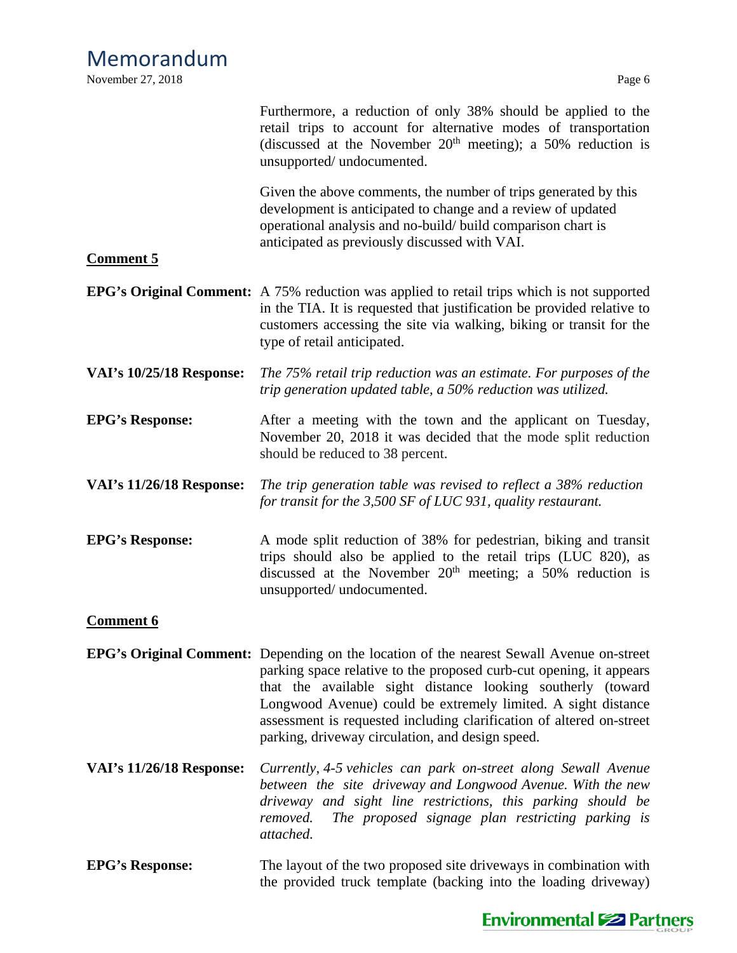| <b>Comment 5</b>                | Furthermore, a reduction of only 38% should be applied to the<br>retail trips to account for alternative modes of transportation<br>(discussed at the November $20th$ meeting); a 50% reduction is<br>unsupported/ undocumented.<br>Given the above comments, the number of trips generated by this<br>development is anticipated to change and a review of updated<br>operational analysis and no-build/ build comparison chart is<br>anticipated as previously discussed with VAI. |
|---------------------------------|--------------------------------------------------------------------------------------------------------------------------------------------------------------------------------------------------------------------------------------------------------------------------------------------------------------------------------------------------------------------------------------------------------------------------------------------------------------------------------------|
|                                 | <b>EPG's Original Comment:</b> A 75% reduction was applied to retail trips which is not supported<br>in the TIA. It is requested that justification be provided relative to<br>customers accessing the site via walking, biking or transit for the<br>type of retail anticipated.                                                                                                                                                                                                    |
| <b>VAI's 10/25/18 Response:</b> | The 75% retail trip reduction was an estimate. For purposes of the<br>trip generation updated table, a 50% reduction was utilized.                                                                                                                                                                                                                                                                                                                                                   |
| <b>EPG's Response:</b>          | After a meeting with the town and the applicant on Tuesday,<br>November 20, 2018 it was decided that the mode split reduction<br>should be reduced to 38 percent.                                                                                                                                                                                                                                                                                                                    |
| <b>VAI's 11/26/18 Response:</b> | The trip generation table was revised to reflect a 38% reduction<br>for transit for the 3,500 SF of LUC 931, quality restaurant.                                                                                                                                                                                                                                                                                                                                                     |
| <b>EPG's Response:</b>          | A mode split reduction of 38% for pedestrian, biking and transit<br>trips should also be applied to the retail trips (LUC 820), as<br>discussed at the November $20th$ meeting; a 50% reduction is<br>unsupported/ undocumented.                                                                                                                                                                                                                                                     |
| <b>Comment 6</b>                |                                                                                                                                                                                                                                                                                                                                                                                                                                                                                      |
|                                 | <b>EPG's Original Comment:</b> Depending on the location of the nearest Sewall Avenue on-street<br>parking space relative to the proposed curb-cut opening, it appears<br>that the available sight distance looking southerly (toward<br>Longwood Avenue) could be extremely limited. A sight distance<br>assessment is requested including clarification of altered on-street<br>parking, driveway circulation, and design speed.                                                   |
| VAI's 11/26/18 Response:        | Currently, 4-5 vehicles can park on-street along Sewall Avenue<br>between the site driveway and Longwood Avenue. With the new<br>driveway and sight line restrictions, this parking should be<br>The proposed signage plan restricting parking is<br>removed.<br>attached.                                                                                                                                                                                                           |
| <b>EPG's Response:</b>          | The layout of the two proposed site driveways in combination with<br>the provided truck template (backing into the loading driveway)                                                                                                                                                                                                                                                                                                                                                 |

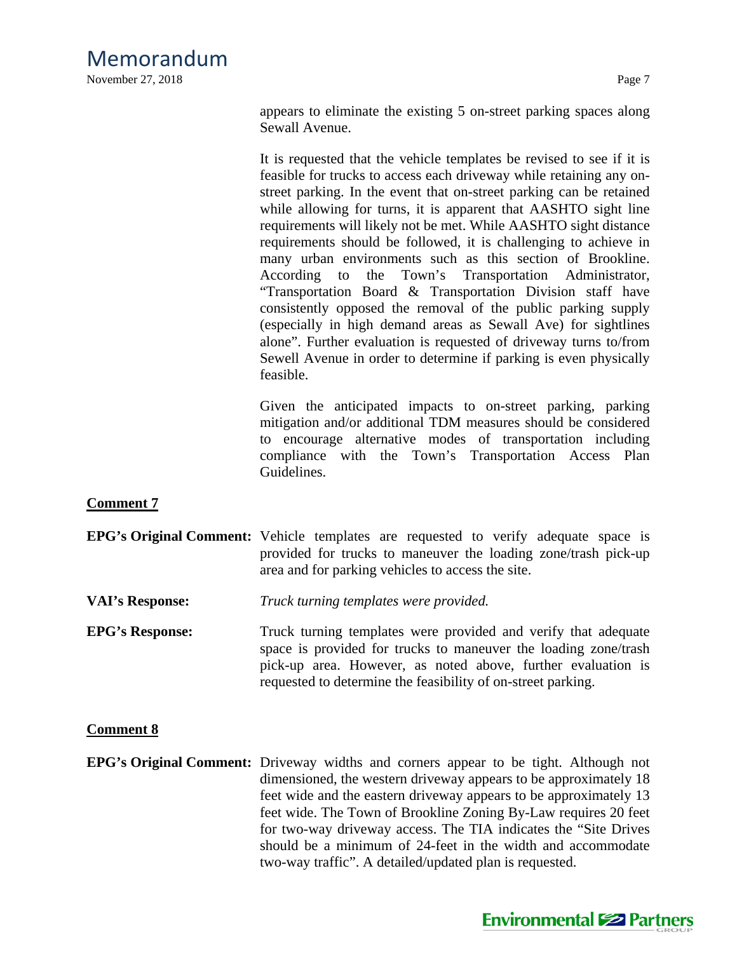November 27, 2018 Page 7

appears to eliminate the existing 5 on-street parking spaces along Sewall Avenue.

It is requested that the vehicle templates be revised to see if it is feasible for trucks to access each driveway while retaining any onstreet parking. In the event that on-street parking can be retained while allowing for turns, it is apparent that AASHTO sight line requirements will likely not be met. While AASHTO sight distance requirements should be followed, it is challenging to achieve in many urban environments such as this section of Brookline. According to the Town's Transportation Administrator, "Transportation Board & Transportation Division staff have consistently opposed the removal of the public parking supply (especially in high demand areas as Sewall Ave) for sightlines alone". Further evaluation is requested of driveway turns to/from Sewell Avenue in order to determine if parking is even physically feasible.

Given the anticipated impacts to on-street parking, parking mitigation and/or additional TDM measures should be considered to encourage alternative modes of transportation including compliance with the Town's Transportation Access Plan Guidelines.

### **Comment 7**

- **EPG's Original Comment:** Vehicle templates are requested to verify adequate space is provided for trucks to maneuver the loading zone/trash pick-up area and for parking vehicles to access the site.
- **VAI's Response:** *Truck turning templates were provided.*
- **EPG's Response:** Truck turning templates were provided and verify that adequate space is provided for trucks to maneuver the loading zone/trash pick-up area. However, as noted above, further evaluation is requested to determine the feasibility of on-street parking.

### **Comment 8**

**EPG's Original Comment:** Driveway widths and corners appear to be tight. Although not dimensioned, the western driveway appears to be approximately 18 feet wide and the eastern driveway appears to be approximately 13 feet wide. The Town of Brookline Zoning By-Law requires 20 feet for two-way driveway access. The TIA indicates the "Site Drives should be a minimum of 24-feet in the width and accommodate two-way traffic". A detailed/updated plan is requested.